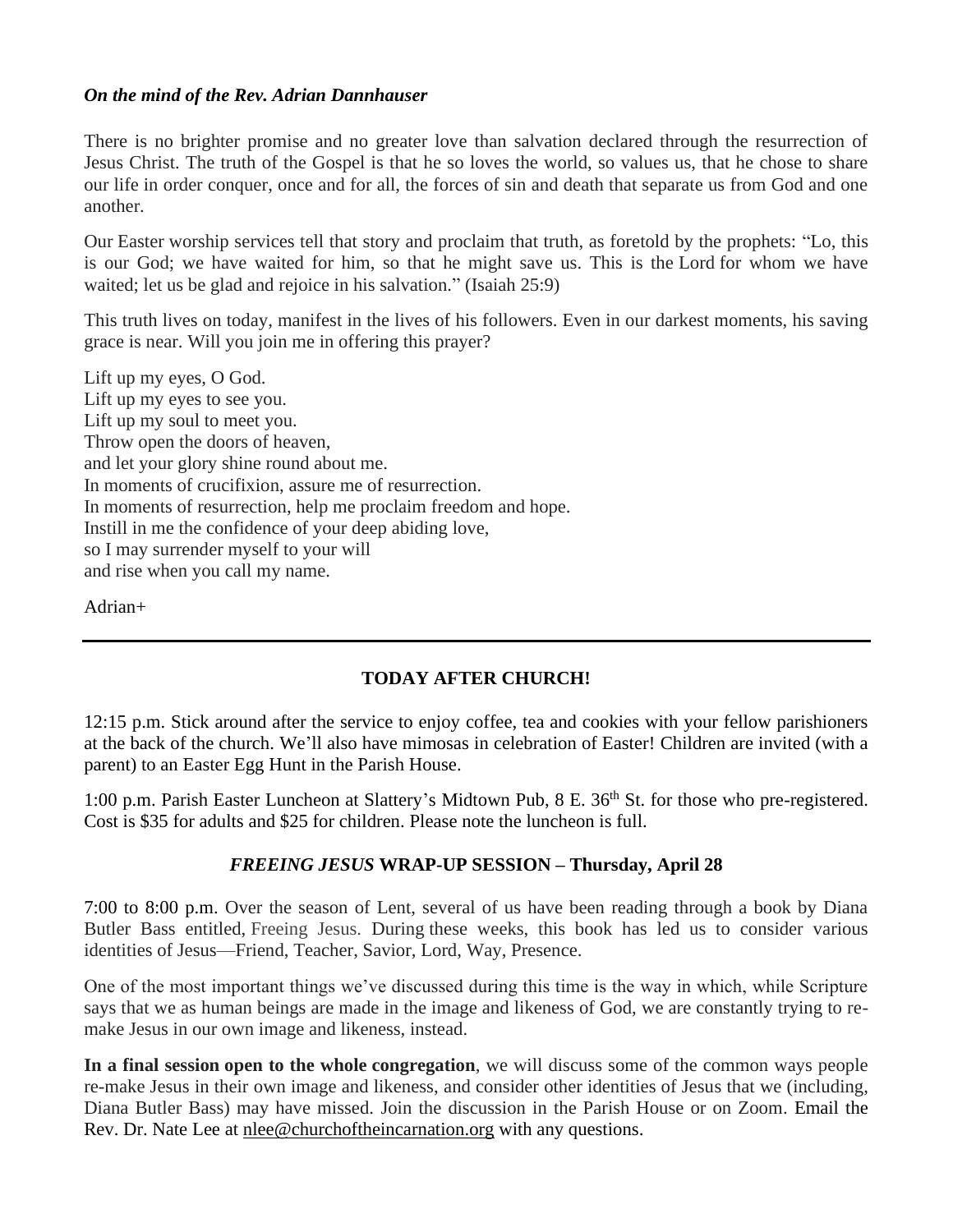## *On the mind of the Rev. Adrian Dannhauser*

There is no brighter promise and no greater love than salvation declared through the resurrection of Jesus Christ. The truth of the Gospel is that he so loves the world, so values us, that he chose to share our life in order conquer, once and for all, the forces of sin and death that separate us from God and one another.

Our Easter worship services tell that story and proclaim that truth, as foretold by the prophets: "Lo, this is our God; we have waited for him, so that he might save us. This is the Lord for whom we have waited; let us be glad and rejoice in his salvation." (Isaiah 25:9)

This truth lives on today, manifest in the lives of his followers. Even in our darkest moments, his saving grace is near. Will you join me in offering this prayer?

Lift up my eyes, O God. Lift up my eyes to see you. Lift up my soul to meet you. Throw open the doors of heaven, and let your glory shine round about me. In moments of crucifixion, assure me of resurrection. In moments of resurrection, help me proclaim freedom and hope. Instill in me the confidence of your deep abiding love, so I may surrender myself to your will and rise when you call my name.

Adrian+

# **TODAY AFTER CHURCH!**

12:15 p.m. Stick around after the service to enjoy coffee, tea and cookies with your fellow parishioners at the back of the church. We'll also have mimosas in celebration of Easter! Children are invited (with a parent) to an Easter Egg Hunt in the Parish House.

1:00 p.m. Parish Easter Luncheon at Slattery's Midtown Pub, 8 E. 36<sup>th</sup> St. for those who pre-registered. Cost is \$35 for adults and \$25 for children. Please note the luncheon is full.

# *FREEING JESUS* **WRAP-UP SESSION – Thursday, April 28**

7:00 to 8:00 p.m. Over the season of Lent, several of us have been reading through a book by Diana Butler Bass entitled, Freeing Jesus. During these weeks, this book has led us to consider various identities of Jesus––Friend, Teacher, Savior, Lord, Way, Presence.

One of the most important things we've discussed during this time is the way in which, while Scripture says that we as human beings are made in the image and likeness of God, we are constantly trying to remake Jesus in our own image and likeness, instead.

**In a final session open to the whole congregation**, we will discuss some of the common ways people re-make Jesus in their own image and likeness, and consider other identities of Jesus that we (including, Diana Butler Bass) may have missed. Join the discussion in the Parish House or on Zoom. Email the Rev. Dr. Nate Lee at nlee@churchoftheincarnation.org with any questions.